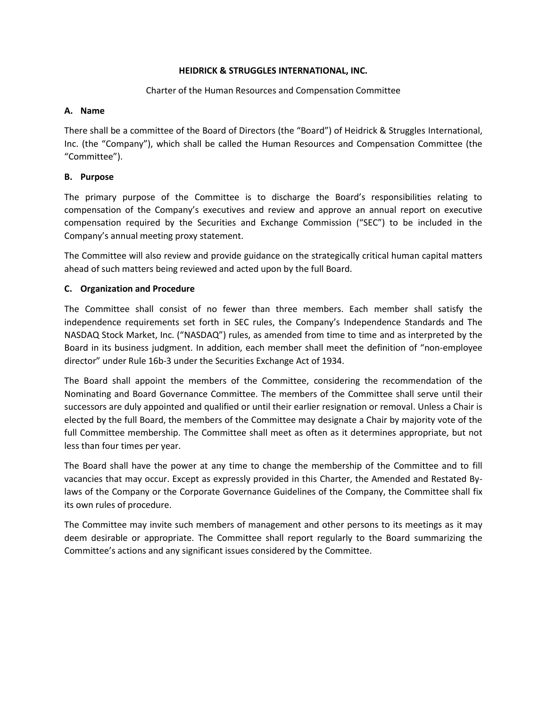## **HEIDRICK & STRUGGLES INTERNATIONAL, INC.**

## Charter of the Human Resources and Compensation Committee

## **A. Name**

There shall be a committee of the Board of Directors (the "Board") of Heidrick & Struggles International, Inc. (the "Company"), which shall be called the Human Resources and Compensation Committee (the "Committee").

# **B. Purpose**

The primary purpose of the Committee is to discharge the Board's responsibilities relating to compensation of the Company's executives and review and approve an annual report on executive compensation required by the Securities and Exchange Commission ("SEC") to be included in the Company's annual meeting proxy statement.

The Committee will also review and provide guidance on the strategically critical human capital matters ahead of such matters being reviewed and acted upon by the full Board.

## **C. Organization and Procedure**

The Committee shall consist of no fewer than three members. Each member shall satisfy the independence requirements set forth in SEC rules, the Company's Independence Standards and The NASDAQ Stock Market, Inc. ("NASDAQ") rules, as amended from time to time and as interpreted by the Board in its business judgment. In addition, each member shall meet the definition of "non-employee director" under Rule 16b-3 under the Securities Exchange Act of 1934.

The Board shall appoint the members of the Committee, considering the recommendation of the Nominating and Board Governance Committee. The members of the Committee shall serve until their successors are duly appointed and qualified or until their earlier resignation or removal. Unless a Chair is elected by the full Board, the members of the Committee may designate a Chair by majority vote of the full Committee membership. The Committee shall meet as often as it determines appropriate, but not less than four times per year.

The Board shall have the power at any time to change the membership of the Committee and to fill vacancies that may occur. Except as expressly provided in this Charter, the Amended and Restated Bylaws of the Company or the Corporate Governance Guidelines of the Company, the Committee shall fix its own rules of procedure.

The Committee may invite such members of management and other persons to its meetings as it may deem desirable or appropriate. The Committee shall report regularly to the Board summarizing the Committee's actions and any significant issues considered by the Committee.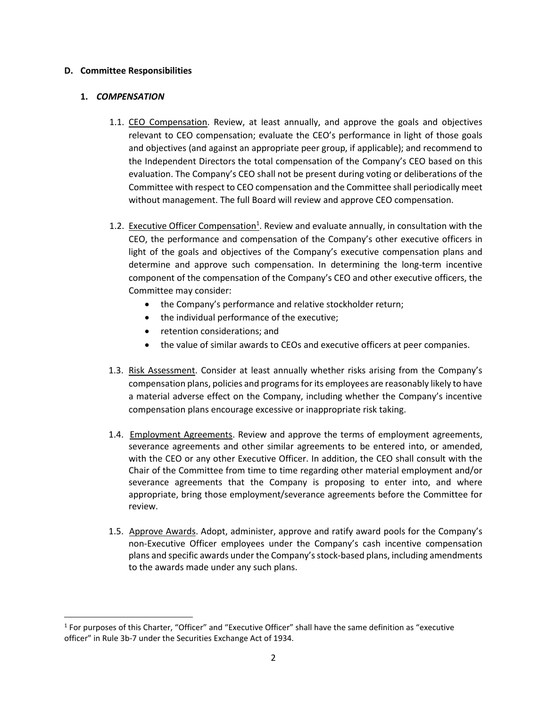#### **D. Committee Responsibilities**

#### **1.** *COMPENSATION*

- 1.1. CEO Compensation. Review, at least annually, and approve the goals and objectives relevant to CEO compensation; evaluate the CEO's performance in light of those goals and objectives (and against an appropriate peer group, if applicable); and recommend to the Independent Directors the total compensation of the Company's CEO based on this evaluation. The Company's CEO shall not be present during voting or deliberations of the Committee with respect to CEO compensation and the Committee shall periodically meet without management. The full Board will review and approve CEO compensation.
- 1.2. Executive Officer Compensation<sup>1</sup>. Review and evaluate annually, in consultation with the CEO, the performance and compensation of the Company's other executive officers in light of the goals and objectives of the Company's executive compensation plans and determine and approve such compensation. In determining the long-term incentive component of the compensation of the Company's CEO and other executive officers, the Committee may consider:
	- the Company's performance and relative stockholder return;
	- the individual performance of the executive;
	- retention considerations; and
	- the value of similar awards to CEOs and executive officers at peer companies.
- 1.3. Risk Assessment. Consider at least annually whether risks arising from the Company's compensation plans, policies and programs for its employees are reasonably likely to have a material adverse effect on the Company, including whether the Company's incentive compensation plans encourage excessive or inappropriate risk taking.
- 1.4. Employment Agreements. Review and approve the terms of employment agreements, severance agreements and other similar agreements to be entered into, or amended, with the CEO or any other Executive Officer. In addition, the CEO shall consult with the Chair of the Committee from time to time regarding other material employment and/or severance agreements that the Company is proposing to enter into, and where appropriate, bring those employment/severance agreements before the Committee for review.
- 1.5. Approve Awards. Adopt, administer, approve and ratify award pools for the Company's non-Executive Officer employees under the Company's cash incentive compensation plans and specific awards under the Company's stock-based plans, including amendments to the awards made under any such plans.

<sup>&</sup>lt;sup>1</sup> For purposes of this Charter, "Officer" and "Executive Officer" shall have the same definition as "executive officer" in Rule 3b‐7 under the Securities Exchange Act of 1934.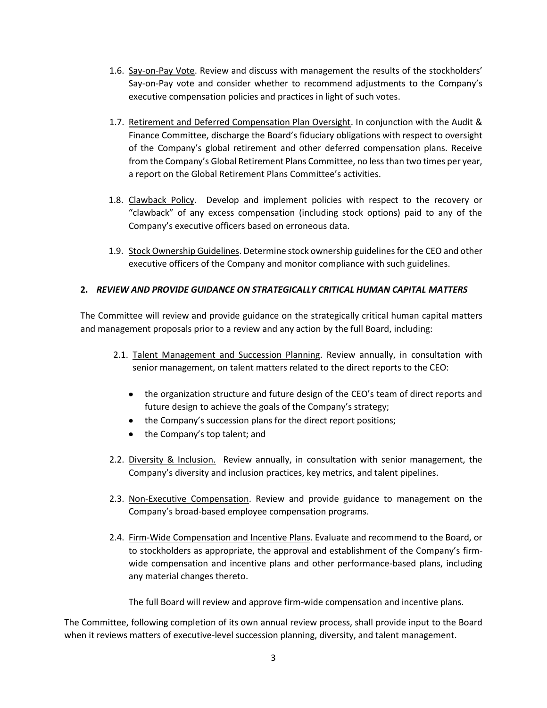- 1.6. Say-on-Pay Vote. Review and discuss with management the results of the stockholders' Say-on-Pay vote and consider whether to recommend adjustments to the Company's executive compensation policies and practices in light of such votes.
- 1.7. Retirement and Deferred Compensation Plan Oversight. In conjunction with the Audit & Finance Committee, discharge the Board's fiduciary obligations with respect to oversight of the Company's global retirement and other deferred compensation plans. Receive from the Company's Global Retirement Plans Committee, no less than two times per year, a report on the Global Retirement Plans Committee's activities.
- 1.8. Clawback Policy. Develop and implement policies with respect to the recovery or "clawback" of any excess compensation (including stock options) paid to any of the Company's executive officers based on erroneous data.
- 1.9. Stock Ownership Guidelines. Determine stock ownership guidelines for the CEO and other executive officers of the Company and monitor compliance with such guidelines.

# **2.** *REVIEW AND PROVIDE GUIDANCE ON STRATEGICALLY CRITICAL HUMAN CAPITAL MATTERS*

The Committee will review and provide guidance on the strategically critical human capital matters and management proposals prior to a review and any action by the full Board, including:

- 2.1. Talent Management and Succession Planning. Review annually, in consultation with senior management, on talent matters related to the direct reports to the CEO:
	- the organization structure and future design of the CEO's team of direct reports and future design to achieve the goals of the Company's strategy;
	- the Company's succession plans for the direct report positions;
	- the Company's top talent; and
- 2.2. Diversity & Inclusion. Review annually, in consultation with senior management, the Company's diversity and inclusion practices, key metrics, and talent pipelines.
- 2.3. Non-Executive Compensation. Review and provide guidance to management on the Company's broad-based employee compensation programs.
- 2.4. Firm-Wide Compensation and Incentive Plans. Evaluate and recommend to the Board, or to stockholders as appropriate, the approval and establishment of the Company's firmwide compensation and incentive plans and other performance-based plans, including any material changes thereto.

The full Board will review and approve firm-wide compensation and incentive plans.

The Committee, following completion of its own annual review process, shall provide input to the Board when it reviews matters of executive-level succession planning, diversity, and talent management.